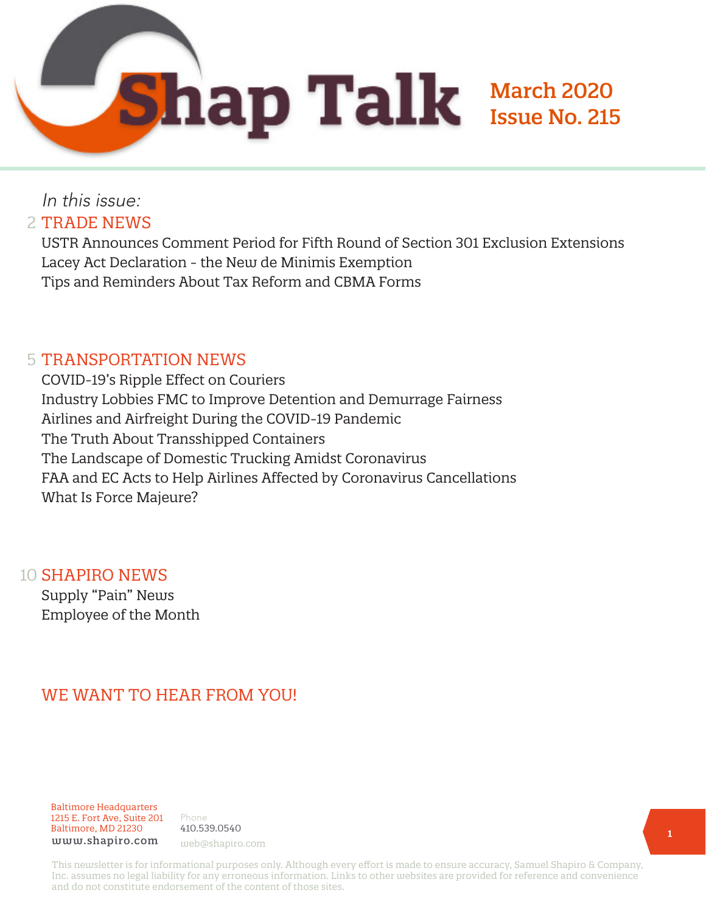March 2020

Issue No. 215

## In this issue: 2 TRADE NEWS

USTR Announces Comment Period for Fifth Round of Section 301 Exclusion Extensions Lacey Act Declaration - the New de Minimis Exemption Tips and Reminders About Tax Reform and CBMA Forms

### 5 TRANSPORTATION NEWS

COVID-19's Ripple Effect on Couriers Industry Lobbies FMC to Improve Detention and Demurrage Fairness Airlines and Airfreight During the COVID-19 Pandemic The Truth About Transshipped Containers The Landscape of Domestic Trucking Amidst Coronavirus FAA and EC Acts to Help Airlines Affected by Coronavirus Cancellations What Is Force Majeure?

#### 10 **SHAPIRO NEWS**

Supply "Pain" News Employee of the Month

## WE WANT TO HEAR FROM YOU!

Baltimore Headquarters 1215 E. Fort Ave, Suite 201 Baltimore, MD 21230 www.shapiro.com web@shapiro.com

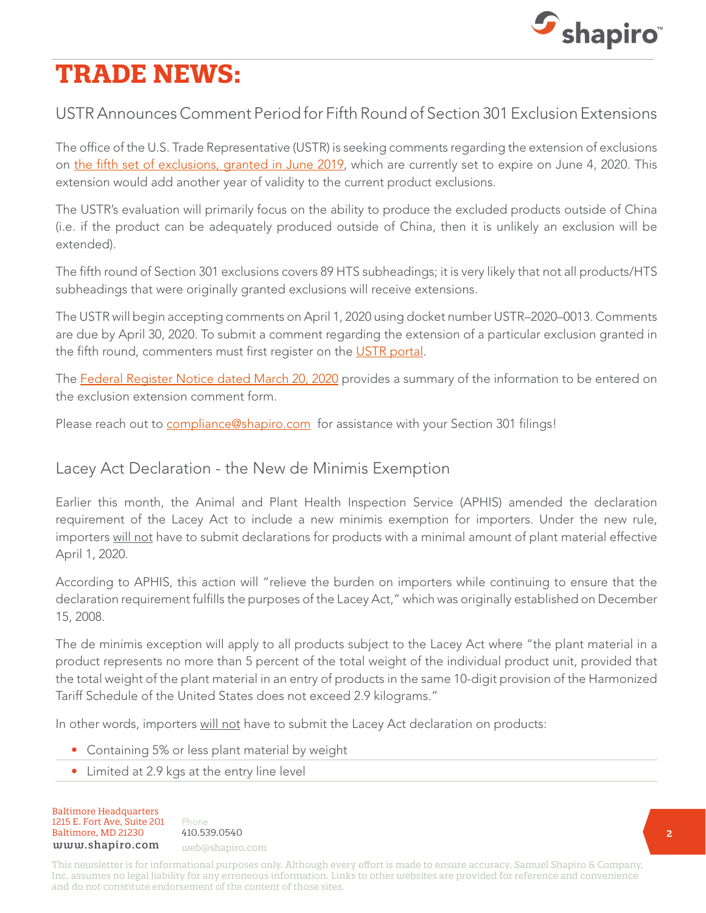

# **TRADE NEWS:**

## USTR Announces Comment Period for Fifth Round of Section 301 Exclusion Extensions

The office of the U.S. Trade Representative (USTR) is seeking comments regarding the extension of exclusions on [the fifth set of exclusions, granted in June 2019](https://www.govinfo.gov/content/pkg/FR-2019-06-04/pdf/2019-11573.pdf), which are currently set to expire on June 4, 2020. This extension would add another year of validity to the current product exclusions.

The USTR's evaluation will primarily focus on the ability to produce the excluded products outside of China (i.e. if the product can be adequately produced outside of China, then it is unlikely an exclusion will be extended).

The fifth round of Section 301 exclusions covers 89 HTS subheadings; it is very likely that not all products/HTS subheadings that were originally granted exclusions will receive extensions.

The USTR will begin accepting comments on April 1, 2020 using docket number USTR–2020–0013. Comments are due by April 30, 2020. To submit a comment regarding the extension of a particular exclusion granted in the fifth round, commenters must first register on the [USTR portal](https://comments.ustr.gov/).

The [Federal Register Notice dated March 20, 2020](https://www.govinfo.gov/content/pkg/FR-2020-03-20/pdf/2020-05890.pdf?utm_campaign=subscription%20mailing%20list&utm_source=federalregister.gov&utm_medium=email) provides a summary of the information to be entered on the exclusion extension comment form.

Please reach out to [compliance@shapiro.com](mailto:compliance%40shapiro.com?subject=) for assistance with your Section 301 filings!

#### Lacey Act Declaration - the New de Minimis Exemption

Earlier this month, the Animal and Plant Health Inspection Service (APHIS) amended the declaration requirement of the Lacey Act to include a new minimis exemption for importers. Under the new rule, importers will not have to submit declarations for products with a minimal amount of plant material effective April 1, 2020.

According to APHIS, this action will "relieve the burden on importers while continuing to ensure that the declaration requirement fulfills the purposes of the Lacey Act," which was originally established on December 15, 2008.

The de minimis exception will apply to all products subject to the Lacey Act where "the plant material in a product represents no more than 5 percent of the total weight of the individual product unit, provided that the total weight of the plant material in an entry of products in the same 10-digit provision of the Harmonized Tariff Schedule of the United States does not exceed 2.9 kilograms."

In other words, importers will not have to submit the Lacey Act declaration on products:

- Containing 5% or less plant material by weight
- Limited at 2.9 kgs at the entry line level

Baltimore Headquarters 1215 E. Fort Ave, Suite 201 Baltimore, MD 21230 410.539.0540 www.shapiro.com web@shapiro.com

Phone the set of the set of the set of the set of the set of the set of the set of the set of the set of the s 410.539.0540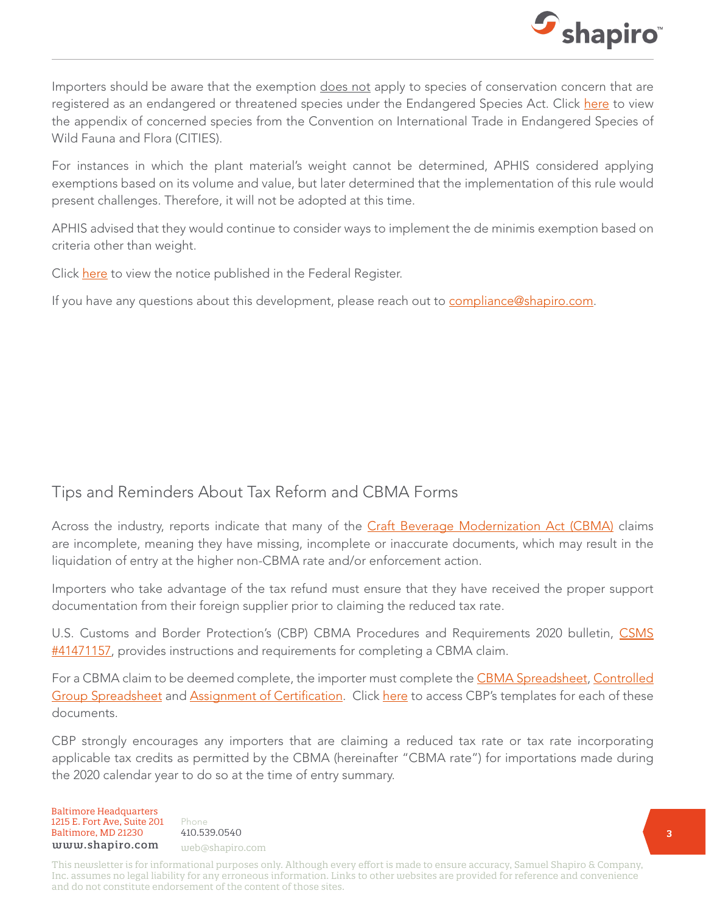

Importers should be aware that the exemption does not apply to species of conservation concern that are registered as an endangered or threatened species under the Endangered Species Act. Click [here](https://www.cites.org/eng/app/index.php) to view the appendix of concerned species from the Convention on International Trade in Endangered Species of Wild Fauna and Flora (CITIES).

For instances in which the plant material's weight cannot be determined, APHIS considered applying exemptions based on its volume and value, but later determined that the implementation of this rule would present challenges. Therefore, it will not be adopted at this time.

APHIS advised that they would continue to consider ways to implement the de minimis exemption based on criteria other than weight.

Click [here](https://www.federalregister.gov/documents/2020/03/02/2020-04165/lacey-act-implementation-plan-de-minimis-exception) to view the notice published in the Federal Register.

If you have any questions about this development, please reach out to [compliance@shapiro.com.](mailto:compliance%40shapiro.com?subject=)

#### Tips and Reminders About Tax Reform and CBMA Forms

Across the industry, reports indicate that many of the *[Craft Beverage Modernization Act \(CBMA\)](https://www.shapiro.com/alerts/craft-beverage-modernization-and-tax-reform-act-of-2017-implementation/)* claims are incomplete, meaning they have missing, incomplete or inaccurate documents, which may result in the liquidation of entry at the higher non-CBMA rate and/or enforcement action.

Importers who take advantage of the tax refund must ensure that they have received the proper support documentation from their foreign supplier prior to claiming the reduced tax rate.

U.S. Customs and Border Protection's (CBP) CBMA Procedures and Requirements 2020 bulletin, [CSMS](https://content.govdelivery.com/bulletins/gd/USDHSCBP-278ccb5?wgt_ref=USDHSCBP_WIDGET_2?utm_source=search.usa.gov&utm_medium=search.usa.gov&utm_term=undefined&utm_content=undefined&utm_campaign=(not%20set)&gclid=undefined&dclid=undefined&GAID=340499347.1568239941) [#41471157](https://content.govdelivery.com/bulletins/gd/USDHSCBP-278ccb5?wgt_ref=USDHSCBP_WIDGET_2?utm_source=search.usa.gov&utm_medium=search.usa.gov&utm_term=undefined&utm_content=undefined&utm_campaign=(not%20set)&gclid=undefined&dclid=undefined&GAID=340499347.1568239941), provides instructions and requirements for completing a CBMA claim.

For a CBMA claim to be deemed complete, the importer must complete the [CBMA Spreadsheet,](https://www.cbp.gov/document/template/cbma-spreadsheet) [Controlled](https://www.cbp.gov/document/template/cbma-controlled-group-spreadsheet) [Group Spreadsheet](https://www.cbp.gov/document/template/cbma-controlled-group-spreadsheet) and [Assignment of Certification](https://www.cbp.gov/trade/basic-import-export/craft-beverage-modernization-tax-reform-act-2017/certification). Click [here](https://www.cbp.gov/trade/program-administration/entry-summary/cbma-2017) to access CBP's templates for each of these documents.

CBP strongly encourages any importers that are claiming a reduced tax rate or tax rate incorporating applicable tax credits as permitted by the CBMA (hereinafter "CBMA rate") for importations made during the 2020 calendar year to do so at the time of entry summary.

Baltimore Headquarters 1215 E. Fort Ave, Suite 201 Baltimore, MD 21230 410.539.0540 www.shapiro.com web@shapiro.com

Phone the set of the set of the set of the set of the set of the set of the set of the set of the set of the s 410.539.0540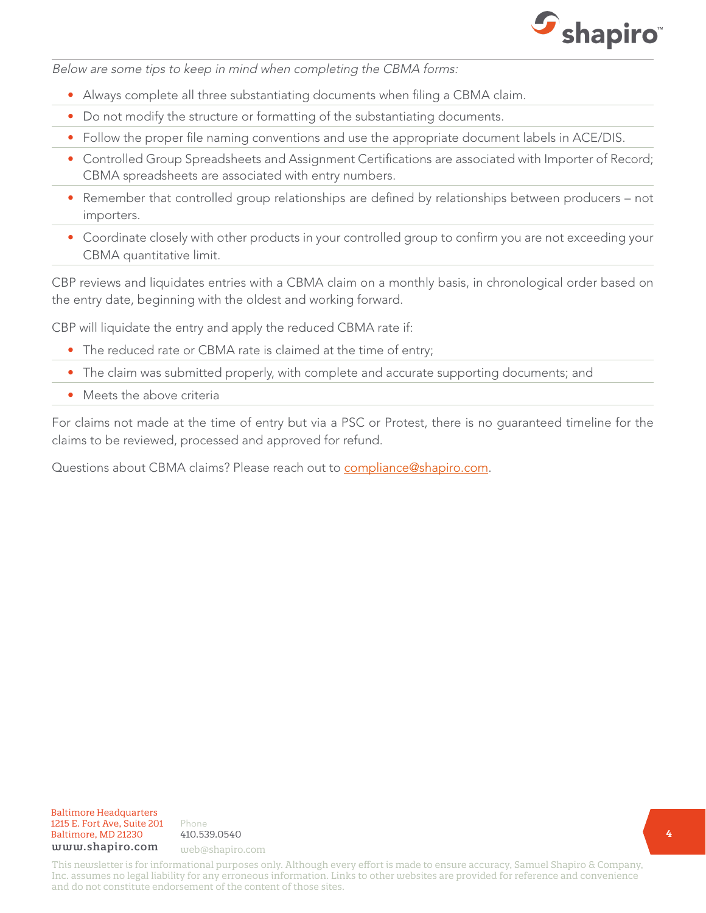

Below are some tips to keep in mind when completing the CBMA forms:

- Always complete all three substantiating documents when filing a CBMA claim.
- Do not modify the structure or formatting of the substantiating documents.
- Follow the proper file naming conventions and use the appropriate document labels in ACE/DIS.
- Controlled Group Spreadsheets and Assignment Certifications are associated with Importer of Record; CBMA spreadsheets are associated with entry numbers.
- Remember that controlled group relationships are defined by relationships between producers not importers.
- Coordinate closely with other products in your controlled group to confirm you are not exceeding your CBMA quantitative limit.

CBP reviews and liquidates entries with a CBMA claim on a monthly basis, in chronological order based on the entry date, beginning with the oldest and working forward.

CBP will liquidate the entry and apply the reduced CBMA rate if:

- The reduced rate or CBMA rate is claimed at the time of entry;
- The claim was submitted properly, with complete and accurate supporting documents; and
- Meets the above criteria

For claims not made at the time of entry but via a PSC or Protest, there is no guaranteed timeline for the claims to be reviewed, processed and approved for refund.

Questions about CBMA claims? Please reach out to [compliance@shapiro.com.](mailto:compliance%40shapiro.com?subject=)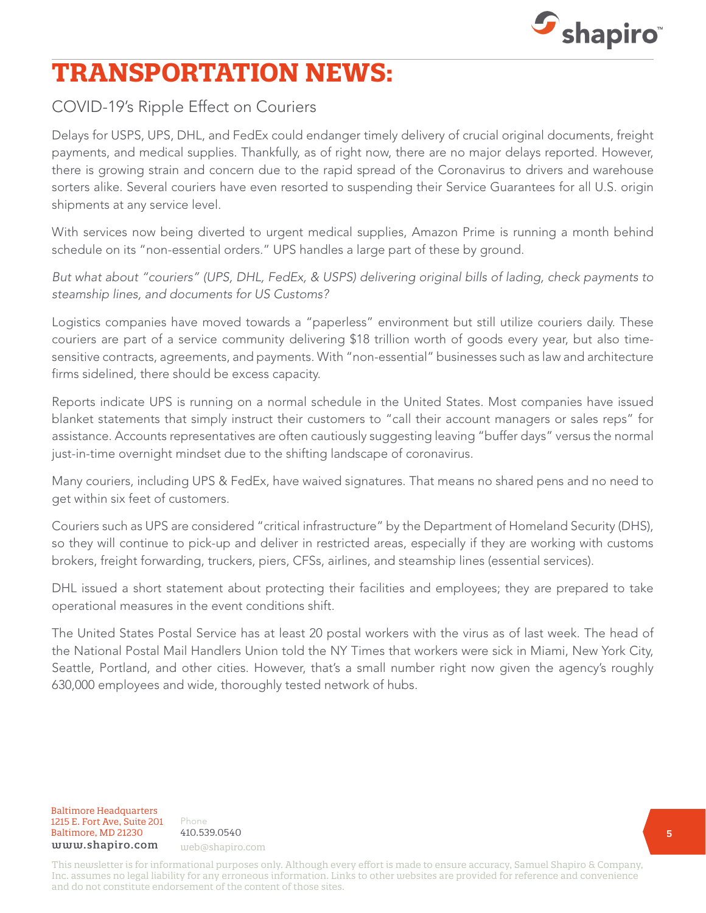

## **TRANSPORTATION NEWS:**

## COVID-19's Ripple Effect on Couriers

Delays for USPS, UPS, DHL, and FedEx could endanger timely delivery of crucial original documents, freight payments, and medical supplies. Thankfully, as of right now, there are no major delays reported. However, there is growing strain and concern due to the rapid spread of the Coronavirus to drivers and warehouse sorters alike. Several couriers have even resorted to suspending their Service Guarantees for all U.S. origin shipments at any service level.

With services now being diverted to urgent medical supplies, Amazon Prime is running a month behind schedule on its "non-essential orders." UPS handles a large part of these by ground.

But what about "couriers" (UPS, DHL, FedEx, & USPS) delivering original bills of lading, check payments to steamship lines, and documents for US Customs?

Logistics companies have moved towards a "paperless" environment but still utilize couriers daily. These couriers are part of a service community delivering \$18 trillion worth of goods every year, but also timesensitive contracts, agreements, and payments. With "non-essential" businesses such as law and architecture firms sidelined, there should be excess capacity.

Reports indicate UPS is running on a normal schedule in the United States. Most companies have issued blanket statements that simply instruct their customers to "call their account managers or sales reps" for assistance. Accounts representatives are often cautiously suggesting leaving "buffer days" versus the normal just-in-time overnight mindset due to the shifting landscape of coronavirus.

Many couriers, including UPS & FedEx, have waived signatures. That means no shared pens and no need to get within six feet of customers.

Couriers such as UPS are considered "critical infrastructure" by the Department of Homeland Security (DHS), so they will continue to pick-up and deliver in restricted areas, especially if they are working with customs brokers, freight forwarding, truckers, piers, CFSs, airlines, and steamship lines (essential services).

DHL issued a short statement about protecting their facilities and employees; they are prepared to take operational measures in the event conditions shift.

The United States Postal Service has at least 20 postal workers with the virus as of last week. The head of the National Postal Mail Handlers Union told the NY Times that workers were sick in Miami, New York City, Seattle, Portland, and other cities. However, that's a small number right now given the agency's roughly 630,000 employees and wide, thoroughly tested network of hubs.

**Baltimore Headquarters**<br>**1215 E. Fort Ave, Suite 201** Phone 1215 E. Fort Ave, Suite 201 Baltimore, MD 21230 410.539.0540 baltimore, MD 21230 410.559.0540<br>www.shapiro.com <sub>web@shapiro.com</sub>

Phone 410.539.0540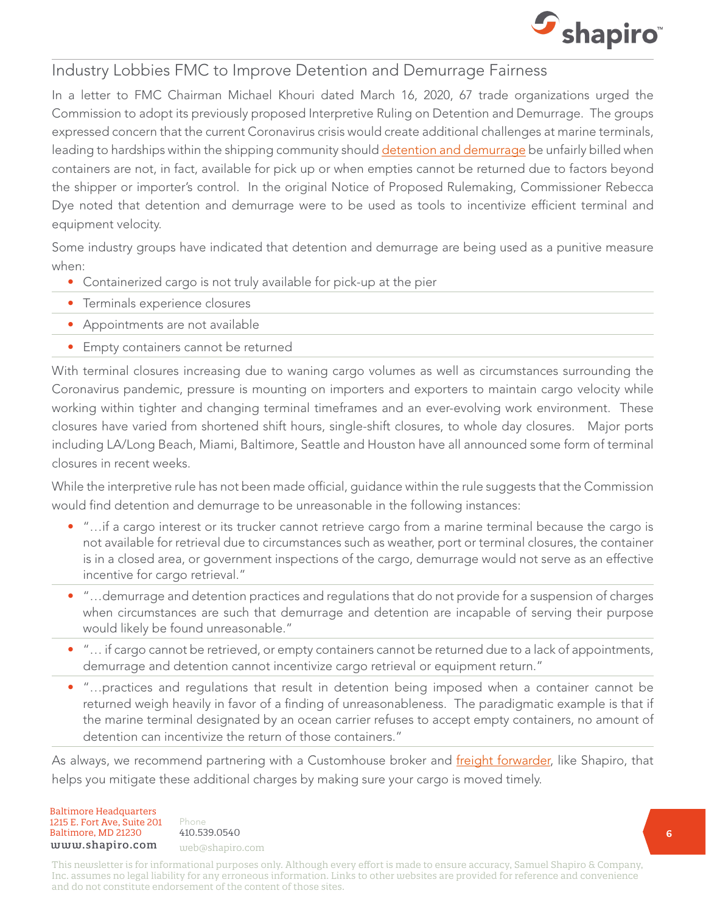

#### Industry Lobbies FMC to Improve Detention and Demurrage Fairness

In a letter to FMC Chairman Michael Khouri dated March 16, 2020, 67 trade organizations urged the Commission to adopt its previously proposed Interpretive Ruling on Detention and Demurrage. The groups expressed concern that the current Coronavirus crisis would create additional challenges at marine terminals, leading to hardships within the shipping community should [detention and demurrage](https://www.shapiro.com/blog/demurrage-detention-per-diem-oh-my-6-tips-to-avoid-additional-charges/) be unfairly billed when containers are not, in fact, available for pick up or when empties cannot be returned due to factors beyond the shipper or importer's control. In the original Notice of Proposed Rulemaking, Commissioner Rebecca Dye noted that detention and demurrage were to be used as tools to incentivize efficient terminal and equipment velocity.

Some industry groups have indicated that detention and demurrage are being used as a punitive measure when:

- Containerized cargo is not truly available for pick-up at the pier
- Terminals experience closures
- Appointments are not available
- Empty containers cannot be returned

With terminal closures increasing due to waning cargo volumes as well as circumstances surrounding the Coronavirus pandemic, pressure is mounting on importers and exporters to maintain cargo velocity while working within tighter and changing terminal timeframes and an ever-evolving work environment. These closures have varied from shortened shift hours, single-shift closures, to whole day closures. Major ports including LA/Long Beach, Miami, Baltimore, Seattle and Houston have all announced some form of terminal closures in recent weeks.

While the interpretive rule has not been made official, guidance within the rule suggests that the Commission would find detention and demurrage to be unreasonable in the following instances:

- "…if a cargo interest or its trucker cannot retrieve cargo from a marine terminal because the cargo is not available for retrieval due to circumstances such as weather, port or terminal closures, the container is in a closed area, or government inspections of the cargo, demurrage would not serve as an effective incentive for cargo retrieval."
- "…demurrage and detention practices and regulations that do not provide for a suspension of charges when circumstances are such that demurrage and detention are incapable of serving their purpose would likely be found unreasonable."
- "… if cargo cannot be retrieved, or empty containers cannot be returned due to a lack of appointments, demurrage and detention cannot incentivize cargo retrieval or equipment return."
- "…practices and regulations that result in detention being imposed when a container cannot be returned weigh heavily in favor of a finding of unreasonableness. The paradigmatic example is that if the marine terminal designated by an ocean carrier refuses to accept empty containers, no amount of detention can incentivize the return of those containers."

As always, we recommend partnering with a Customhouse broker and [freight forwarder](http://www.shapiro.com/import-export/import-cargo-management/), like Shapiro, that helps you mitigate these additional charges by making sure your cargo is moved timely.

Baltimore Headquarters 1215 E. Fort Ave, Suite 201  $Baltimore, MD 21230 410.539.0540$ <br>
uuuu shaniro.com www.shapiro.com web@shapiro.com

Phone the set of the set of the set of the set of the set of the set of the set of the set of the set of the s 410.539.0540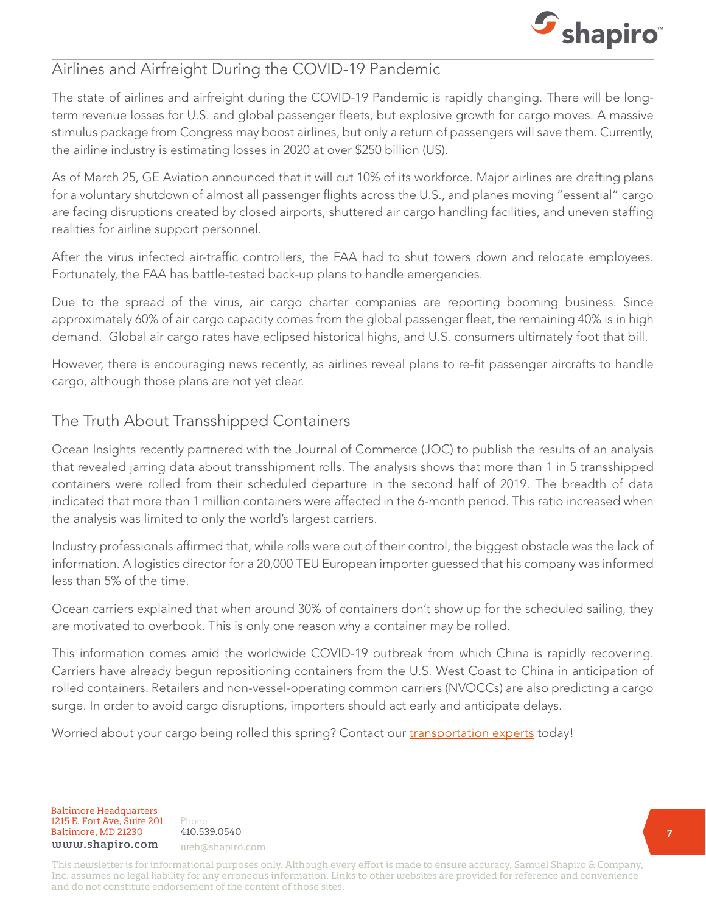

### Airlines and Airfreight During the COVID-19 Pandemic

The state of airlines and airfreight during the COVID-19 Pandemic is rapidly changing. There will be longterm revenue losses for U.S. and global passenger fleets, but explosive growth for cargo moves. A massive stimulus package from Congress may boost airlines, but only a return of passengers will save them. Currently, the airline industry is estimating losses in 2020 at over \$250 billion (US).

As of March 25, GE Aviation announced that it will cut 10% of its workforce. Major airlines are drafting plans for a voluntary shutdown of almost all passenger flights across the U.S., and planes moving "essential" cargo are facing disruptions created by closed airports, shuttered air cargo handling facilities, and uneven staffing realities for airline support personnel.

After the virus infected air-traffic controllers, the FAA had to shut towers down and relocate employees. Fortunately, the FAA has battle-tested back-up plans to handle emergencies.

Due to the spread of the virus, air cargo charter companies are reporting booming business. Since approximately 60% of air cargo capacity comes from the global passenger fleet, the remaining 40% is in high demand. Global air cargo rates have eclipsed historical highs, and U.S. consumers ultimately foot that bill.

However, there is encouraging news recently, as airlines reveal plans to re-fit passenger aircrafts to handle cargo, although those plans are not yet clear.

### The Truth About Transshipped Containers

Ocean Insights recently partnered with the Journal of Commerce (JOC) to publish the results of an analysis that revealed jarring data about transshipment rolls. The analysis shows that more than 1 in 5 transshipped containers were rolled from their scheduled departure in the second half of 2019. The breadth of data indicated that more than 1 million containers were affected in the 6-month period. This ratio increased when the analysis was limited to only the world's largest carriers.

Industry professionals affirmed that, while rolls were out of their control, the biggest obstacle was the lack of information. A logistics director for a 20,000 TEU European importer guessed that his company was informed less than 5% of the time.

Ocean carriers explained that when around 30% of containers don't show up for the scheduled sailing, they are motivated to overbook. This is only one reason why a container may be rolled.

This information comes amid the worldwide COVID-19 outbreak from which China is rapidly recovering. Carriers have already begun repositioning containers from the U.S. West Coast to China in anticipation of rolled containers. Retailers and non-vessel-operating common carriers (NVOCCs) are also predicting a cargo surge. In order to avoid cargo disruptions, importers should act early and anticipate delays.

Worried about your cargo being rolled this spring? Contact our [transportation experts](mailto:web%40shapiro.com?subject=) today!

Baltimore Headquarters 1215 E. Fort Ave, Suite 201 Baltimore, MD 21230<br>Haltimore, MD 21230 410.539.0540 www.shapiro.com web@shapiro.com

Phone 410.539.0540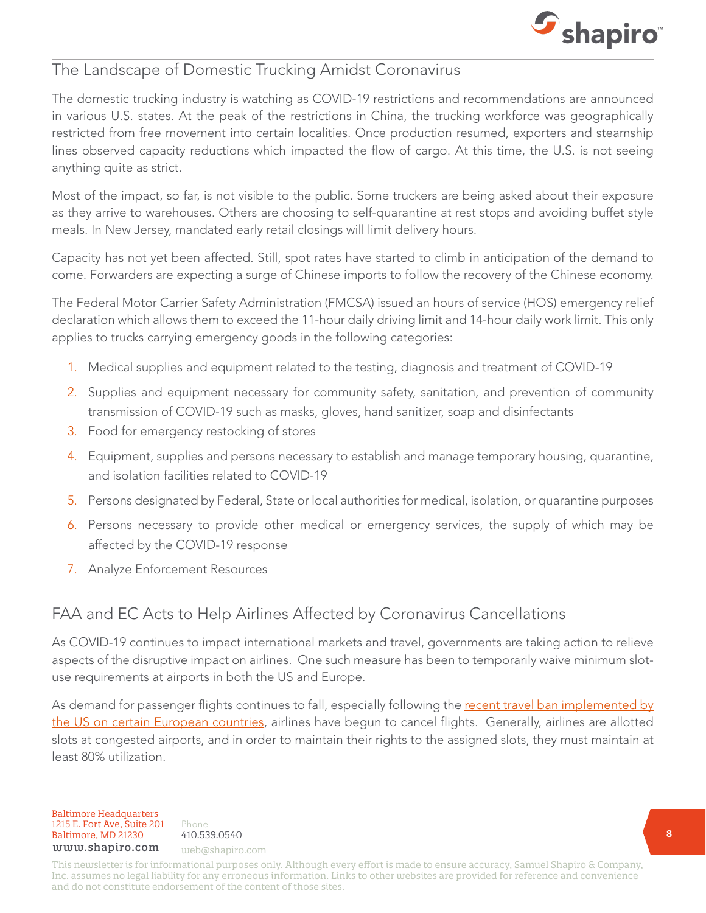

#### The Landscape of Domestic Trucking Amidst Coronavirus

The domestic trucking industry is watching as COVID-19 restrictions and recommendations are announced in various U.S. states. At the peak of the restrictions in China, the trucking workforce was geographically restricted from free movement into certain localities. Once production resumed, exporters and steamship lines observed capacity reductions which impacted the flow of cargo. At this time, the U.S. is not seeing anything quite as strict.

Most of the impact, so far, is not visible to the public. Some truckers are being asked about their exposure as they arrive to warehouses. Others are choosing to self-quarantine at rest stops and avoiding buffet style meals. In New Jersey, mandated early retail closings will limit delivery hours.

Capacity has not yet been affected. Still, spot rates have started to climb in anticipation of the demand to come. Forwarders are expecting a surge of Chinese imports to follow the recovery of the Chinese economy.

The Federal Motor Carrier Safety Administration (FMCSA) issued an hours of service (HOS) emergency relief declaration which allows them to exceed the 11-hour daily driving limit and 14-hour daily work limit. This only applies to trucks carrying emergency goods in the following categories:

- 1. Medical supplies and equipment related to the testing, diagnosis and treatment of COVID-19
- 2. Supplies and equipment necessary for community safety, sanitation, and prevention of community transmission of COVID-19 such as masks, gloves, hand sanitizer, soap and disinfectants
- 3. Food for emergency restocking of stores
- 4. Equipment, supplies and persons necessary to establish and manage temporary housing, quarantine, and isolation facilities related to COVID-19
- 5. Persons designated by Federal, State or local authorities for medical, isolation, or quarantine purposes
- 6. Persons necessary to provide other medical or emergency services, the supply of which may be affected by the COVID-19 response
- 7. Analyze Enforcement Resources

## FAA and EC Acts to Help Airlines Affected by Coronavirus Cancellations

As COVID-19 continues to impact international markets and travel, governments are taking action to relieve aspects of the disruptive impact on airlines. One such measure has been to temporarily waive minimum slotuse requirements at airports in both the US and Europe.

As demand for passenger flights continues to fall, especially following the [recent travel ban implemented by](https://www.shapiro.com/alerts/airline-cancellations-update-march-25/) [the US on certain European countries](https://www.shapiro.com/alerts/airline-cancellations-update-march-25/), airlines have begun to cancel flights. Generally, airlines are allotted slots at congested airports, and in order to maintain their rights to the assigned slots, they must maintain at least 80% utilization.

Baltimore Headquarters Baltimore, MD 21201 HHHHHHHHHHHH Baltimore Headquarters Baltimore, MD 21230 410.539.0540 1215 E. Fort Ave, Suite 201 www.shapiro.com web@shapiro.com

Phone 410.539.0540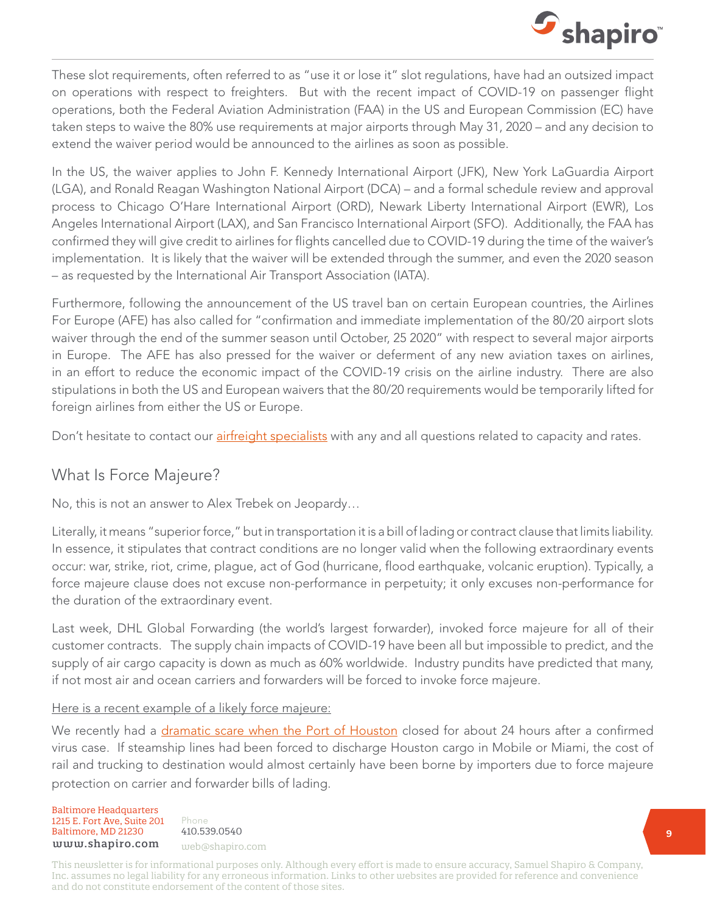

These slot requirements, often referred to as "use it or lose it" slot regulations, have had an outsized impact on operations with respect to freighters. But with the recent impact of COVID-19 on passenger flight operations, both the Federal Aviation Administration (FAA) in the US and European Commission (EC) have taken steps to waive the 80% use requirements at major airports through May 31, 2020 – and any decision to extend the waiver period would be announced to the airlines as soon as possible.

In the US, the waiver applies to John F. Kennedy International Airport (JFK), New York LaGuardia Airport (LGA), and Ronald Reagan Washington National Airport (DCA) – and a formal schedule review and approval process to Chicago O'Hare International Airport (ORD), Newark Liberty International Airport (EWR), Los Angeles International Airport (LAX), and San Francisco International Airport (SFO). Additionally, the FAA has confirmed they will give credit to airlines for flights cancelled due to COVID-19 during the time of the waiver's implementation. It is likely that the waiver will be extended through the summer, and even the 2020 season – as requested by the International Air Transport Association (IATA).

Furthermore, following the announcement of the US travel ban on certain European countries, the Airlines For Europe (AFE) has also called for "confirmation and immediate implementation of the 80/20 airport slots waiver through the end of the summer season until October, 25 2020" with respect to several major airports in Europe. The AFE has also pressed for the waiver or deferment of any new aviation taxes on airlines, in an effort to reduce the economic impact of the COVID-19 crisis on the airline industry. There are also stipulations in both the US and European waivers that the 80/20 requirements would be temporarily lifted for foreign airlines from either the US or Europe.

Don't hesitate to contact our *[airfreight specialists](mailto:cindy%40shapiro.com?subject=)* with any and all questions related to capacity and rates.

#### What Is Force Majeure?

No, this is not an answer to Alex Trebek on Jeopardy…

Literally, it means "superior force," but in transportation it is a bill of lading or contract clause that limits liability. In essence, it stipulates that contract conditions are no longer valid when the following extraordinary events occur: war, strike, riot, crime, plague, act of God (hurricane, flood earthquake, volcanic eruption). Typically, a force majeure clause does not excuse non-performance in perpetuity; it only excuses non-performance for the duration of the extraordinary event.

Last week, DHL Global Forwarding (the world's largest forwarder), invoked force majeure for all of their customer contracts. The supply chain impacts of COVID-19 have been all but impossible to predict, and the supply of air cargo capacity is down as much as 60% worldwide. Industry pundits have predicted that many, if not most air and ocean carriers and forwarders will be forced to invoke force majeure.

#### Here is a recent example of a likely force majeure:

We recently had a [dramatic scare when the Port of Houston](https://www.shapiro.com/alerts/terminals-port-houston-suspend-operations-march-19/) closed for about 24 hours after a confirmed virus case. If steamship lines had been forced to discharge Houston cargo in Mobile or Miami, the cost of rail and trucking to destination would almost certainly have been borne by importers due to force majeure protection on carrier and forwarder bills of lading.

Baltimore Headquarters 1215 E. Fort Ave, Suite 201 www.shapiro. you@shapiro.com Baltimore, MD 21230 www.shapiro.com web@shapiro.com

Phone 410.539.0540